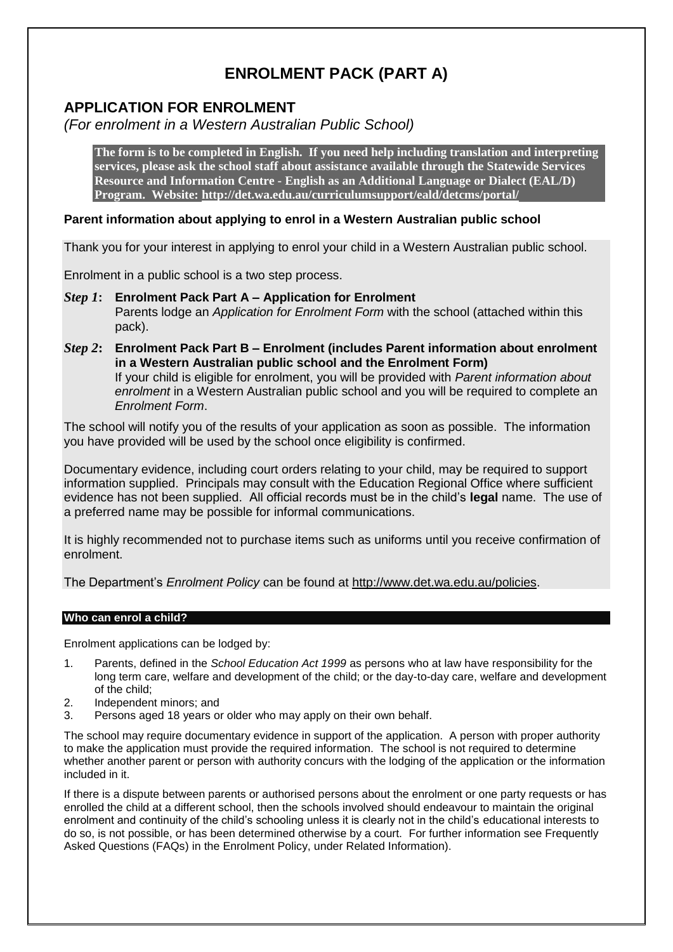# **ENROLMENT PACK (PART A)**

# **APPLICATION FOR ENROLMENT**

*(For enrolment in a Western Australian Public School)*

**The form is to be completed in English. If you need help including translation and interpreting services, please ask the school staff about assistance available through the Statewide Services Resource and Information Centre - English as an Additional Language or Dialect (EAL/D) Program. Website:<http://det.wa.edu.au/curriculumsupport/eald/detcms/portal/>**

# **Parent information about applying to enrol in a Western Australian public school**

Thank you for your interest in applying to enrol your child in a Western Australian public school.

Enrolment in a public school is a two step process.

- *Step 1***: Enrolment Pack Part A – Application for Enrolment** Parents lodge an *Application for Enrolment Form* with the school (attached within this pack).
- *Step 2***: Enrolment Pack Part B – Enrolment (includes Parent information about enrolment in a Western Australian public school and the Enrolment Form)** If your child is eligible for enrolment, you will be provided with *Parent information about enrolment* in a Western Australian public school and you will be required to complete an *Enrolment Form*.

The school will notify you of the results of your application as soon as possible. The information you have provided will be used by the school once eligibility is confirmed.

Documentary evidence, including court orders relating to your child, may be required to support information supplied. Principals may consult with the Education Regional Office where sufficient evidence has not been supplied. All official records must be in the child's **legal** name. The use of a preferred name may be possible for informal communications.

It is highly recommended not to purchase items such as uniforms until you receive confirmation of enrolment.

The Department's *Enrolment Policy* can be found at [http://www.det.wa.edu.au/policies.](http://www.det.wa.edu.au/policies)

# **Who can enrol a child?**

Enrolment applications can be lodged by:

- 1. Parents, defined in the *School Education Act 1999* as persons who at law have responsibility for the long term care, welfare and development of the child; or the day-to-day care, welfare and development of the child;
- 2. Independent minors; and
- 3. Persons aged 18 years or older who may apply on their own behalf.

The school may require documentary evidence in support of the application. A person with proper authority to make the application must provide the required information. The school is not required to determine whether another parent or person with authority concurs with the lodging of the application or the information included in it.

If there is a dispute between parents or authorised persons about the enrolment or one party requests or has enrolled the child at a different school, then the schools involved should endeavour to maintain the original enrolment and continuity of the child's schooling unless it is clearly not in the child's educational interests to do so, is not possible, or has been determined otherwise by a court. For further information see Frequently Asked Questions (FAQs) in the Enrolment Policy, under Related Information).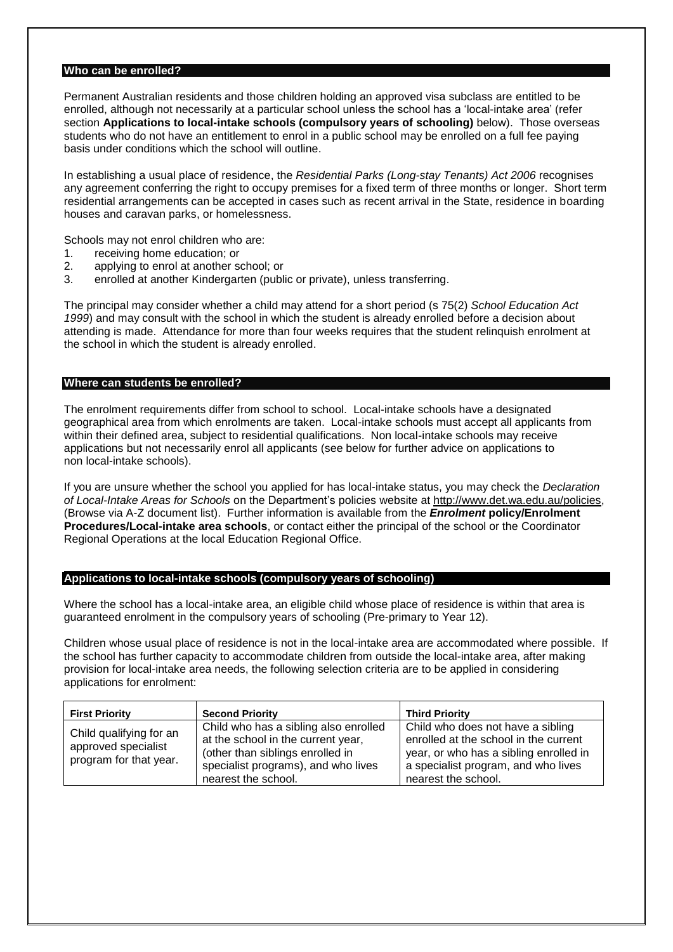## **Who can be enrolled?**

Permanent Australian residents and those children holding an approved visa subclass are entitled to be enrolled, although not necessarily at a particular school unless the school has a 'local-intake area' (refer section **Applications to local-intake schools (compulsory years of schooling)** below). Those overseas students who do not have an entitlement to enrol in a public school may be enrolled on a full fee paying basis under conditions which the school will outline.

In establishing a usual place of residence, the *Residential Parks (Long-stay Tenants) Act 2006* recognises any agreement conferring the right to occupy premises for a fixed term of three months or longer. Short term residential arrangements can be accepted in cases such as recent arrival in the State, residence in boarding houses and caravan parks, or homelessness.

Schools may not enrol children who are:

- 1. receiving home education; or
- 2. applying to enrol at another school; or
- 3. enrolled at another Kindergarten (public or private), unless transferring.

The principal may consider whether a child may attend for a short period (s 75(2) *School Education Act 1999*) and may consult with the school in which the student is already enrolled before a decision about attending is made. Attendance for more than four weeks requires that the student relinquish enrolment at the school in which the student is already enrolled.

#### **Where can students be enrolled?**

The enrolment requirements differ from school to school. Local-intake schools have a designated geographical area from which enrolments are taken. Local-intake schools must accept all applicants from within their defined area, subject to residential qualifications. Non local-intake schools may receive applications but not necessarily enrol all applicants (see below for further advice on applications to non local-intake schools).

If you are unsure whether the school you applied for has local-intake status, you may check the *Declaration of Local-Intake Areas for Schools* on the Department's policies website at [http://www.det.wa.edu.au/policies,](http://www.det.wa.edu.au/policies) (Browse via A-Z document list). Further information is available from the *Enrolment* **policy/Enrolment Procedures/Local-intake area schools**, or contact either the principal of the school or the Coordinator Regional Operations at the local Education Regional Office.

### **Applications to local-intake schools (compulsory years of schooling)**

Where the school has a local-intake area, an eligible child whose place of residence is within that area is guaranteed enrolment in the compulsory years of schooling (Pre-primary to Year 12).

Children whose usual place of residence is not in the local-intake area are accommodated where possible. If the school has further capacity to accommodate children from outside the local-intake area, after making provision for local-intake area needs, the following selection criteria are to be applied in considering applications for enrolment:

| <b>First Priority</b>                                                    | <b>Second Priority</b>                                                                                                                                                        | <b>Third Priority</b>                                                                                                                                                              |
|--------------------------------------------------------------------------|-------------------------------------------------------------------------------------------------------------------------------------------------------------------------------|------------------------------------------------------------------------------------------------------------------------------------------------------------------------------------|
| Child qualifying for an<br>approved specialist<br>program for that year. | Child who has a sibling also enrolled<br>at the school in the current year,<br>(other than siblings enrolled in<br>specialist programs), and who lives<br>nearest the school. | Child who does not have a sibling<br>enrolled at the school in the current<br>year, or who has a sibling enrolled in<br>a specialist program, and who lives<br>nearest the school. |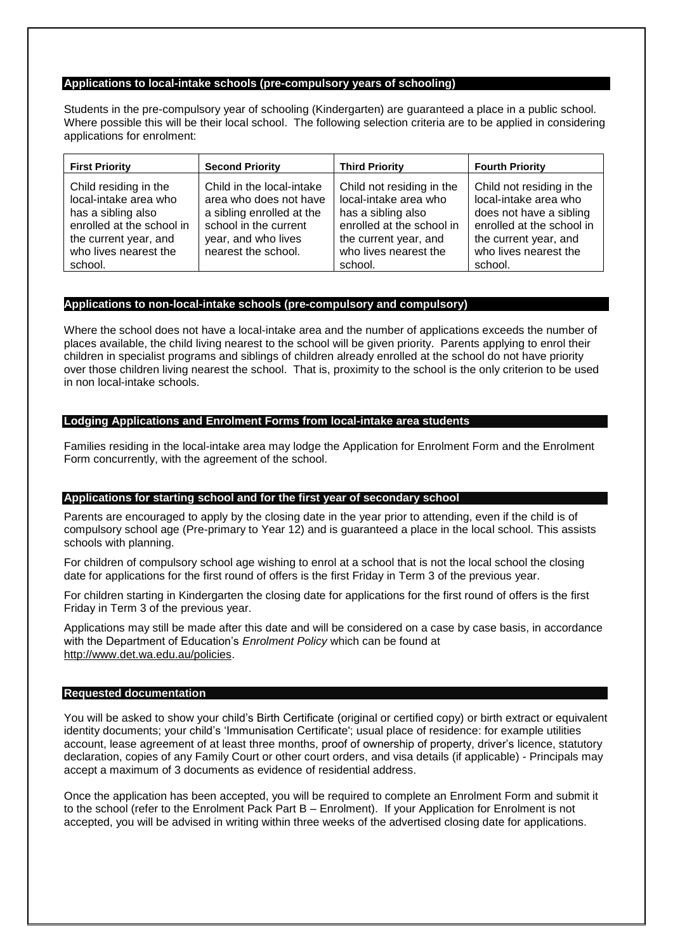### **Applications to local-intake schools (pre-compulsory years of schooling)**

Students in the pre-compulsory year of schooling (Kindergarten) are guaranteed a place in a public school. Where possible this will be their local school. The following selection criteria are to be applied in considering applications for enrolment:

| <b>First Priority</b>                                                                                                                                          | <b>Second Priority</b>                                                                                                                                  | <b>Third Priority</b>                                                                                                                                              | <b>Fourth Priority</b>                                                                                                                                                  |
|----------------------------------------------------------------------------------------------------------------------------------------------------------------|---------------------------------------------------------------------------------------------------------------------------------------------------------|--------------------------------------------------------------------------------------------------------------------------------------------------------------------|-------------------------------------------------------------------------------------------------------------------------------------------------------------------------|
| Child residing in the<br>local-intake area who<br>has a sibling also<br>enrolled at the school in<br>the current year, and<br>who lives nearest the<br>school. | Child in the local-intake<br>area who does not have<br>a sibling enrolled at the<br>school in the current<br>year, and who lives<br>nearest the school. | Child not residing in the<br>local-intake area who<br>has a sibling also<br>enrolled at the school in<br>the current year, and<br>who lives nearest the<br>school. | Child not residing in the<br>local-intake area who<br>does not have a sibling<br>enrolled at the school in<br>the current year, and<br>who lives nearest the<br>school. |

## **Applications to non-local-intake schools (pre-compulsory and compulsory)**

Where the school does not have a local-intake area and the number of applications exceeds the number of places available, the child living nearest to the school will be given priority. Parents applying to enrol their children in specialist programs and siblings of children already enrolled at the school do not have priority over those children living nearest the school. That is, proximity to the school is the only criterion to be used in non local-intake schools.

## **Lodging Applications and Enrolment Forms from local-intake area students**

Families residing in the local-intake area may lodge the Application for Enrolment Form and the Enrolment Form concurrently, with the agreement of the school.

## **Applications for starting school and for the first year of secondary school**

Parents are encouraged to apply by the closing date in the year prior to attending, even if the child is of compulsory school age (Pre-primary to Year 12) and is guaranteed a place in the local school. This assists schools with planning.

For children of compulsory school age wishing to enrol at a school that is not the local school the closing date for applications for the first round of offers is the first Friday in Term 3 of the previous year.

For children starting in Kindergarten the closing date for applications for the first round of offers is the first Friday in Term 3 of the previous year.

Applications may still be made after this date and will be considered on a case by case basis, in accordance with the Department of Education's *Enrolment Policy* which can be found at [http://www.det.wa.edu.au/policies.](http://www.det.wa.edu.au/policies)

### **Requested documentation**

You will be asked to show your child's Birth Certificate (original or certified copy) or birth extract or equivalent identity documents; your child's 'Immunisation Certificate'; usual place of residence: for example utilities account, lease agreement of at least three months, proof of ownership of property, driver's licence, statutory declaration, copies of any Family Court or other court orders, and visa details (if applicable) - Principals may accept a maximum of 3 documents as evidence of residential address.

Once the application has been accepted, you will be required to complete an Enrolment Form and submit it to the school (refer to the Enrolment Pack Part B – Enrolment). If your Application for Enrolment is not accepted, you will be advised in writing within three weeks of the advertised closing date for applications.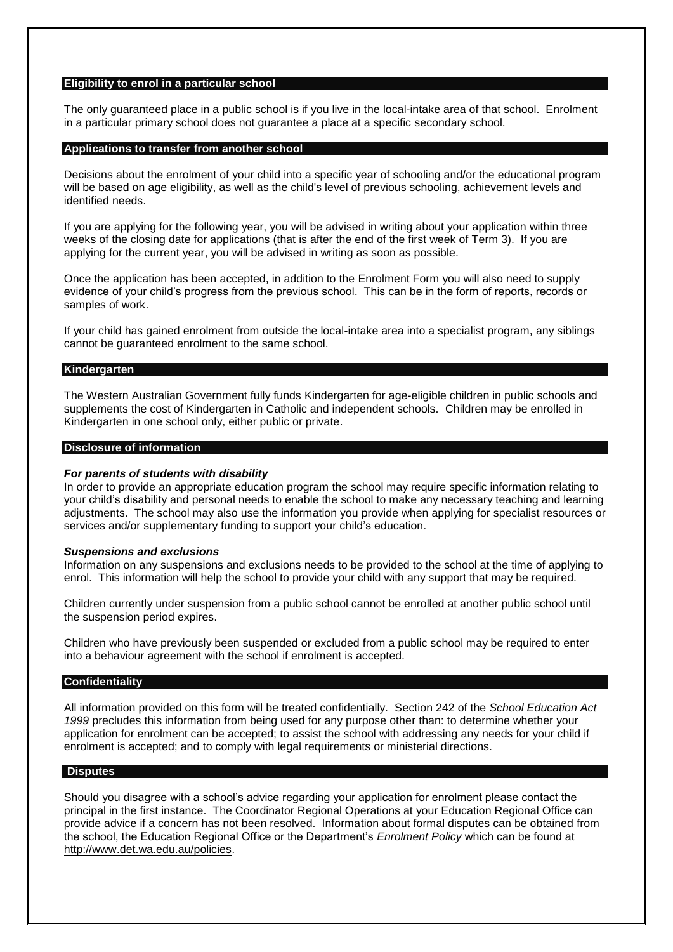#### **Eligibility to enrol in a particular school**

The only guaranteed place in a public school is if you live in the local-intake area of that school. Enrolment in a particular primary school does not guarantee a place at a specific secondary school.

#### **Applications to transfer from another school**

Decisions about the enrolment of your child into a specific year of schooling and/or the educational program will be based on age eligibility, as well as the child's level of previous schooling, achievement levels and identified needs.

If you are applying for the following year, you will be advised in writing about your application within three weeks of the closing date for applications (that is after the end of the first week of Term 3). If you are applying for the current year, you will be advised in writing as soon as possible.

Once the application has been accepted, in addition to the Enrolment Form you will also need to supply evidence of your child's progress from the previous school. This can be in the form of reports, records or samples of work.

If your child has gained enrolment from outside the local-intake area into a specialist program, any siblings cannot be guaranteed enrolment to the same school.

#### **Kindergarten**

The Western Australian Government fully funds Kindergarten for age-eligible children in public schools and supplements the cost of Kindergarten in Catholic and independent schools. Children may be enrolled in Kindergarten in one school only, either public or private.

#### **Disclosure of information**

#### *For parents of students with disability*

In order to provide an appropriate education program the school may require specific information relating to your child's disability and personal needs to enable the school to make any necessary teaching and learning adjustments. The school may also use the information you provide when applying for specialist resources or services and/or supplementary funding to support your child's education.

#### *Suspensions and exclusions*

Information on any suspensions and exclusions needs to be provided to the school at the time of applying to enrol. This information will help the school to provide your child with any support that may be required.

Children currently under suspension from a public school cannot be enrolled at another public school until the suspension period expires.

Children who have previously been suspended or excluded from a public school may be required to enter into a behaviour agreement with the school if enrolment is accepted.

#### **Confidentiality**

All information provided on this form will be treated confidentially. Section 242 of the *School Education Act 1999* precludes this information from being used for any purpose other than: to determine whether your application for enrolment can be accepted; to assist the school with addressing any needs for your child if enrolment is accepted; and to comply with legal requirements or ministerial directions.

#### **Disputes**

Should you disagree with a school's advice regarding your application for enrolment please contact the principal in the first instance. The Coordinator Regional Operations at your Education Regional Office can provide advice if a concern has not been resolved. Information about formal disputes can be obtained from the school, the Education Regional Office or the Department's *Enrolment Policy* which can be found at [http://www.det.wa.edu.au/policies.](http://www.det.wa.edu.au/policies)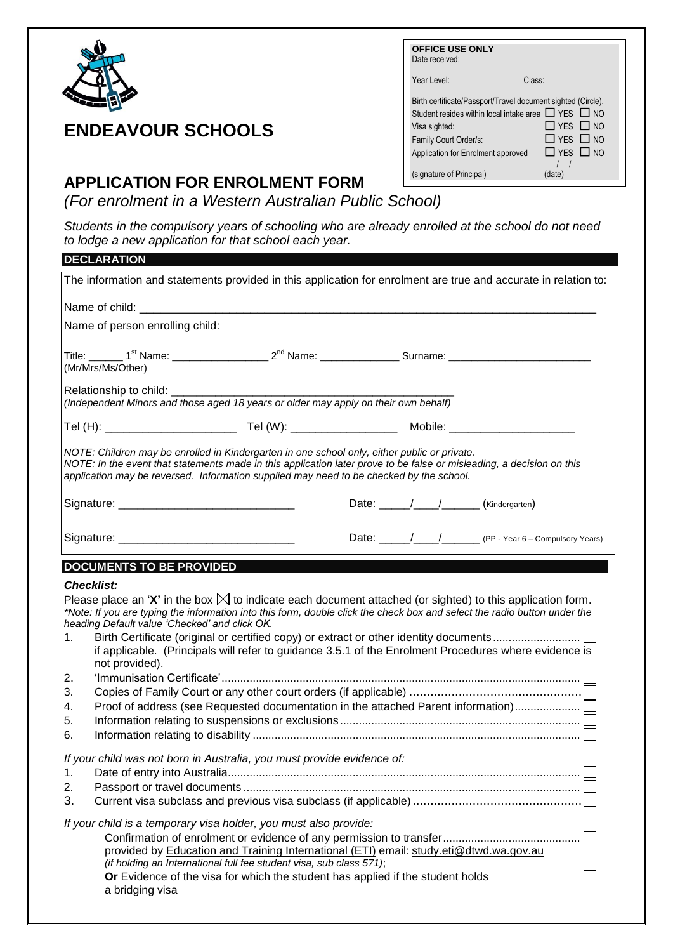

| <b>OFFICE USE ONLY</b><br>Date received:                                                                                                                                                                      |                                                                      |
|---------------------------------------------------------------------------------------------------------------------------------------------------------------------------------------------------------------|----------------------------------------------------------------------|
| Year Level:                                                                                                                                                                                                   | Class:                                                               |
| Birth certificate/Passport/Travel document sighted (Circle).<br>Student resides within local intake area $\Box$ YES $\Box$ NO<br>Visa sighted:<br>Family Court Order/s:<br>Application for Enrolment approved | $\Box$ YFS $\Box$ NO<br>$\Box$ YES $\Box$ NO<br>$\Box$ YFS $\Box$ NO |
| (signature of Principal)                                                                                                                                                                                      | (date)                                                               |

# **APPLICATION FOR ENROLMENT FORM**

**ENDEAVOUR SCHOOLS**

*(For enrolment in a Western Australian Public School)*

*s*<br>Students in the compulsory years of schooling who are already enrolled at the school do not need *to lodge a new application for that school each year.* tne scnool ao not neea

|                                  | <b>DECLARATION</b>                                                                                                                                                                                                                                                                                                                     |  |                                                                                                                                                                                                                                                                                                                                                                                                                                                 |  |
|----------------------------------|----------------------------------------------------------------------------------------------------------------------------------------------------------------------------------------------------------------------------------------------------------------------------------------------------------------------------------------|--|-------------------------------------------------------------------------------------------------------------------------------------------------------------------------------------------------------------------------------------------------------------------------------------------------------------------------------------------------------------------------------------------------------------------------------------------------|--|
|                                  |                                                                                                                                                                                                                                                                                                                                        |  | The information and statements provided in this application for enrolment are true and accurate in relation to:                                                                                                                                                                                                                                                                                                                                 |  |
|                                  |                                                                                                                                                                                                                                                                                                                                        |  |                                                                                                                                                                                                                                                                                                                                                                                                                                                 |  |
|                                  | Name of person enrolling child:                                                                                                                                                                                                                                                                                                        |  |                                                                                                                                                                                                                                                                                                                                                                                                                                                 |  |
|                                  | Title: _______ 1 <sup>st</sup> Name: ______________________2 <sup>nd</sup> Name: _________________Surname: ____________________________                                                                                                                                                                                                |  |                                                                                                                                                                                                                                                                                                                                                                                                                                                 |  |
|                                  | (Mr/Mrs/Ms/Other)                                                                                                                                                                                                                                                                                                                      |  |                                                                                                                                                                                                                                                                                                                                                                                                                                                 |  |
|                                  | Relationship to child: __________<br>(Independent Minors and those aged 18 years or older may apply on their own behalf)                                                                                                                                                                                                               |  |                                                                                                                                                                                                                                                                                                                                                                                                                                                 |  |
|                                  |                                                                                                                                                                                                                                                                                                                                        |  |                                                                                                                                                                                                                                                                                                                                                                                                                                                 |  |
|                                  | NOTE: Children may be enrolled in Kindergarten in one school only, either public or private.<br>NOTE: In the event that statements made in this application later prove to be false or misleading, a decision on this<br>application may be reversed. Information supplied may need to be checked by the school.                       |  |                                                                                                                                                                                                                                                                                                                                                                                                                                                 |  |
|                                  |                                                                                                                                                                                                                                                                                                                                        |  |                                                                                                                                                                                                                                                                                                                                                                                                                                                 |  |
|                                  |                                                                                                                                                                                                                                                                                                                                        |  |                                                                                                                                                                                                                                                                                                                                                                                                                                                 |  |
|                                  | <b>DOCUMENTS TO BE PROVIDED</b>                                                                                                                                                                                                                                                                                                        |  |                                                                                                                                                                                                                                                                                                                                                                                                                                                 |  |
| 1.<br>2.<br>3.<br>4.<br>5.<br>6. | <b>Checklist:</b><br>heading Default value 'Checked' and click OK.<br>not provided).                                                                                                                                                                                                                                                   |  | Please place an 'X' in the box $\boxtimes$ to indicate each document attached (or sighted) to this application form.<br>*Note: If you are typing the information into this form, double click the check box and select the radio button under the<br>if applicable. (Principals will refer to guidance 3.5.1 of the Enrolment Procedures where evidence is<br>Proof of address (see Requested documentation in the attached Parent information) |  |
| 1.<br>2.<br>3.                   | If your child was not born in Australia, you must provide evidence of:                                                                                                                                                                                                                                                                 |  |                                                                                                                                                                                                                                                                                                                                                                                                                                                 |  |
|                                  | If your child is a temporary visa holder, you must also provide:<br>provided by Education and Training International (ETI) email: study.eti@dtwd.wa.gov.au<br>(if holding an International full fee student visa, sub class 571);<br>Or Evidence of the visa for which the student has applied if the student holds<br>a bridging visa |  |                                                                                                                                                                                                                                                                                                                                                                                                                                                 |  |